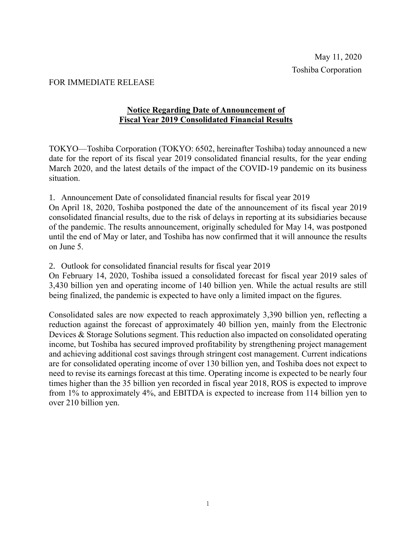## FOR IMMEDIATE RELEASE

## **Notice Regarding Date of Announcement of Fiscal Year 2019 Consolidated Financial Results**

TOKYO—Toshiba Corporation (TOKYO: 6502, hereinafter Toshiba) today announced a new date for the report of its fiscal year 2019 consolidated financial results, for the year ending March 2020, and the latest details of the impact of the COVID-19 pandemic on its business situation.

1. Announcement Date of consolidated financial results for fiscal year 2019

On April 18, 2020, Toshiba postponed the date of the announcement of its fiscal year 2019 consolidated financial results, due to the risk of delays in reporting at its subsidiaries because of the pandemic. The results announcement, originally scheduled for May 14, was postponed until the end of May or later, and Toshiba has now confirmed that it will announce the results on June 5.

2. Outlook for consolidated financial results for fiscal year 2019

On February 14, 2020, Toshiba issued a consolidated forecast for fiscal year 2019 sales of 3,430 billion yen and operating income of 140 billion yen. While the actual results are still being finalized, the pandemic is expected to have only a limited impact on the figures.

Consolidated sales are now expected to reach approximately 3,390 billion yen, reflecting a reduction against the forecast of approximately 40 billion yen, mainly from the Electronic Devices & Storage Solutions segment. This reduction also impacted on consolidated operating income, but Toshiba has secured improved profitability by strengthening project management and achieving additional cost savings through stringent cost management. Current indications are for consolidated operating income of over 130 billion yen, and Toshiba does not expect to need to revise its earnings forecast at this time. Operating income is expected to be nearly four times higher than the 35 billion yen recorded in fiscal year 2018, ROS is expected to improve from 1% to approximately 4%, and EBITDA is expected to increase from 114 billion yen to over 210 billion yen.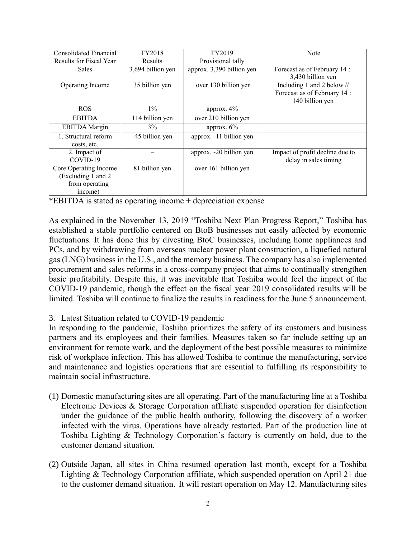| Consolidated Financial  | FY2018            | FY2019                    | Note                            |
|-------------------------|-------------------|---------------------------|---------------------------------|
| Results for Fiscal Year | Results           | Provisional tally         |                                 |
| <b>Sales</b>            | 3,694 billion yen | approx. 3,390 billion yen | Forecast as of February 14:     |
|                         |                   |                           | 3,430 billion yen               |
| Operating Income        | 35 billion yen    | over 130 billion yen      | Including 1 and 2 below //      |
|                         |                   |                           | Forecast as of February 14:     |
|                         |                   |                           | 140 billion yen                 |
| ROS.                    | $1\%$             | approx. 4%                |                                 |
| <b>EBITDA</b>           | 114 billion yen   | over 210 billion yen      |                                 |
| <b>EBITDA</b> Margin    | $3\%$             | approx. $6\%$             |                                 |
| 1. Structural reform    | -45 billion yen   | approx. -11 billion yen   |                                 |
| costs, etc.             |                   |                           |                                 |
| 2. Impact of            |                   | approx. -20 billion yen   | Impact of profit decline due to |
| COVID-19                |                   |                           | delay in sales timing           |
| Core Operating Income   | 81 billion yen    | over 161 billion yen      |                                 |
| (Excluding 1 and 2)     |                   |                           |                                 |
| from operating          |                   |                           |                                 |
| income)                 |                   |                           |                                 |

\*EBITDA is stated as operating income + depreciation expense

As explained in the November 13, 2019 "Toshiba Next Plan Progress Report," Toshiba has established a stable portfolio centered on BtoB businesses not easily affected by economic fluctuations. It has done this by divesting BtoC businesses, including home appliances and PCs, and by withdrawing from overseas nuclear power plant construction, a liquefied natural gas (LNG) business in the U.S., and the memory business. The company has also implemented procurement and sales reforms in a cross-company project that aims to continually strengthen basic profitability. Despite this, it was inevitable that Toshiba would feel the impact of the COVID-19 pandemic, though the effect on the fiscal year 2019 consolidated results will be limited. Toshiba will continue to finalize the results in readiness for the June 5 announcement.

## 3. Latest Situation related to COVID-19 pandemic

In responding to the pandemic, Toshiba prioritizes the safety of its customers and business partners and its employees and their families. Measures taken so far include setting up an environment for remote work, and the deployment of the best possible measures to minimize risk of workplace infection. This has allowed Toshiba to continue the manufacturing, service and maintenance and logistics operations that are essential to fulfilling its responsibility to maintain social infrastructure.

- (1) Domestic manufacturing sites are all operating. Part of the manufacturing line at a Toshiba Electronic Devices & Storage Corporation affiliate suspended operation for disinfection under the guidance of the public health authority, following the discovery of a worker infected with the virus. Operations have already restarted. Part of the production line at Toshiba Lighting & Technology Corporation's factory is currently on hold, due to the customer demand situation.
- (2) Outside Japan, all sites in China resumed operation last month, except for a Toshiba Lighting & Technology Corporation affiliate, which suspended operation on April 21 due to the customer demand situation. It will restart operation on May 12. Manufacturing sites